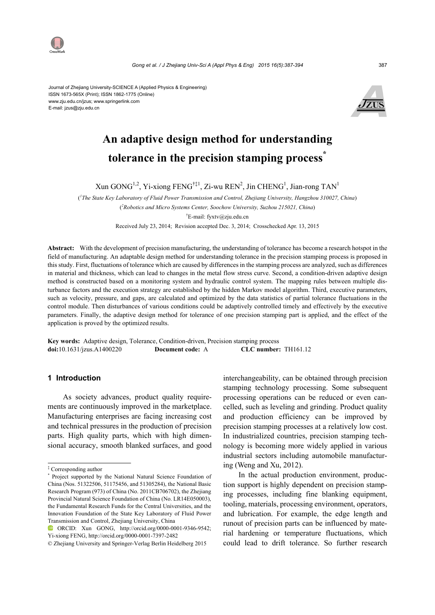

Journal of Zhejiang University-SCIENCE A (Applied Physics & Engineering) ISSN 1673-565X (Print); ISSN 1862-1775 (Online) www.zju.edu.cn/jzus; www.springerlink.com E-mail: jzus@zju.edu.cn



# **An adaptive design method for understanding tolerance in the precision stamping process\***

Xun GONG<sup>1,2</sup>, Yi-xiong FENG<sup>†‡1</sup>, Zi-wu REN<sup>2</sup>, Jin CHENG<sup>1</sup>, Jian-rong TAN<sup>1</sup>

( *1 The State Key Laboratory of Fluid Power Transmission and Control, Zhejiang University, Hangzhou 310027, China*)

( *2 Robotics and Micro Systems Center, Soochow University, Suzhou 215021, China*) † E-mail: fyxtv@zju.edu.cn

Received July 23, 2014; Revision accepted Dec. 3, 2014; Crosschecked Apr. 13, 2015

**Abstract:** With the development of precision manufacturing, the understanding of tolerance has become a research hotspot in the field of manufacturing. An adaptable design method for understanding tolerance in the precision stamping process is proposed in this study. First, fluctuations of tolerance which are caused by differences in the stamping process are analyzed, such as differences in material and thickness, which can lead to changes in the metal flow stress curve. Second, a condition-driven adaptive design method is constructed based on a monitoring system and hydraulic control system. The mapping rules between multiple disturbance factors and the execution strategy are established by the hidden Markov model algorithm. Third, executive parameters, such as velocity, pressure, and gaps, are calculated and optimized by the data statistics of partial tolerance fluctuations in the control module. Then disturbances of various conditions could be adaptively controlled timely and effectively by the executive parameters. Finally, the adaptive design method for tolerance of one precision stamping part is applied, and the effect of the application is proved by the optimized results.

**Key words:** Adaptive design, Tolerance, Condition-driven, Precision stamping process **doi:**10.1631/jzus.A1400220 **Document code:** A **CLC number:** TH161.12

### **1 Introduction**

As society advances, product quality requirements are continuously improved in the marketplace. Manufacturing enterprises are facing increasing cost and technical pressures in the production of precision parts. High quality parts, which with high dimensional accuracy, smooth blanked surfaces, and good interchangeability, can be obtained through precision stamping technology processing. Some subsequent processing operations can be reduced or even cancelled, such as leveling and grinding. Product quality and production efficiency can be improved by precision stamping processes at a relatively low cost. In industrialized countries, precision stamping technology is becoming more widely applied in various industrial sectors including automobile manufacturing (Weng and Xu, 2012).

In the actual production environment, production support is highly dependent on precision stamping processes, including fine blanking equipment, tooling, materials, processing environment, operators, and lubrication. For example, the edge length and runout of precision parts can be influenced by material hardening or temperature fluctuations, which could lead to drift tolerance. So further research

<sup>‡</sup> Corresponding author

<sup>\*</sup> Project supported by the National Natural Science Foundation of China (Nos. 51322506, 51175456, and 51305284), the National Basic Research Program (973) of China (No. 2011CB706702), the Zhejiang Provincial Natural Science Foundation of China (No. LR14E050003), the Fundamental Research Funds for the Central Universities, and the Innovation Foundation of the State Key Laboratory of Fluid Power Transmission and Control, Zhejiang University, China

ORCID: Xun GONG, http://orcid.org/0000-0001-9346-9542; Yi-xiong FENG, http://orcid.org/0000-0001-7397-2482

<sup>©</sup> Zhejiang University and Springer-Verlag Berlin Heidelberg 2015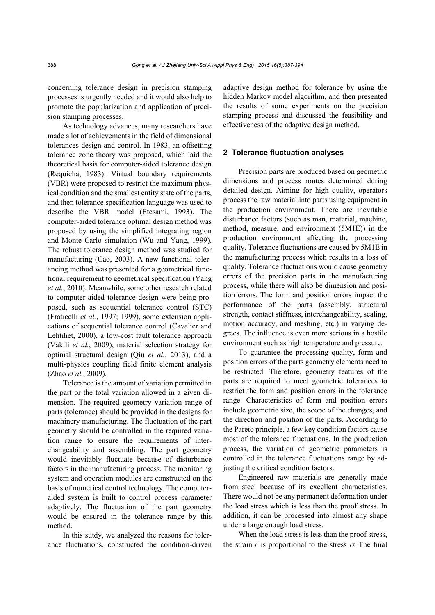concerning tolerance design in precision stamping processes is urgently needed and it would also help to promote the popularization and application of precision stamping processes.

As technology advances, many researchers have made a lot of achievements in the field of dimensional tolerances design and control. In 1983, an offsetting tolerance zone theory was proposed, which laid the theoretical basis for computer-aided tolerance design (Requicha, 1983). Virtual boundary requirements (VBR) were proposed to restrict the maximum physical condition and the smallest entity state of the parts, and then tolerance specification language was used to describe the VBR model (Etesami, 1993). The computer-aided tolerance optimal design method was proposed by using the simplified integrating region and Monte Carlo simulation (Wu and Yang, 1999). The robust tolerance design method was studied for manufacturing (Cao, 2003). A new functional tolerancing method was presented for a geometrical functional requirement to geometrical specification (Yang *et al.*, 2010). Meanwhile, some other research related to computer-aided tolerance design were being proposed, such as sequential tolerance control (STC) (Fraticelli *et al.*, 1997; 1999), some extension applications of sequential tolerance control (Cavalier and Lehtihet, 2000), a low-cost fault tolerance approach (Vakili *et al.*, 2009), material selection strategy for optimal structural design (Qiu *et al.*, 2013), and a multi-physics coupling field finite element analysis (Zhao *et al.*, 2009).

Tolerance is the amount of variation permitted in the part or the total variation allowed in a given dimension. The required geometry variation range of parts (tolerance) should be provided in the designs for machinery manufacturing. The fluctuation of the part geometry should be controlled in the required variation range to ensure the requirements of interchangeability and assembling. The part geometry would inevitably fluctuate because of disturbance factors in the manufacturing process. The monitoring system and operation modules are constructed on the basis of numerical control technology. The computeraided system is built to control process parameter adaptively. The fluctuation of the part geometry would be ensured in the tolerance range by this method.

In this sutdy, we analyzed the reasons for tolerance fluctuations, constructed the condition-driven adaptive design method for tolerance by using the hidden Markov model algorithm, and then presented the results of some experiments on the precision stamping process and discussed the feasibility and effectiveness of the adaptive design method.

#### **2 Tolerance fluctuation analyses**

Precision parts are produced based on geometric dimensions and process routes determined during detailed design. Aiming for high quality, operators process the raw material into parts using equipment in the production environment. There are inevitable disturbance factors (such as man, material, machine, method, measure, and environment (5M1E)) in the production environment affecting the processing quality. Tolerance fluctuations are caused by 5M1E in the manufacturing process which results in a loss of quality. Tolerance fluctuations would cause geometry errors of the precision parts in the manufacturing process, while there will also be dimension and position errors. The form and position errors impact the performance of the parts (assembly, structural strength, contact stiffness, interchangeability, sealing, motion accuracy, and meshing, etc.) in varying degrees. The influence is even more serious in a hostile environment such as high temperature and pressure.

To guarantee the processing quality, form and position errors of the parts geometry elements need to be restricted. Therefore, geometry features of the parts are required to meet geometric tolerances to restrict the form and position errors in the tolerance range. Characteristics of form and position errors include geometric size, the scope of the changes, and the direction and position of the parts. According to the Pareto principle, a few key condition factors cause most of the tolerance fluctuations. In the production process, the variation of geometric parameters is controlled in the tolerance fluctuations range by adjusting the critical condition factors.

Engineered raw materials are generally made from steel because of its excellent characteristics. There would not be any permanent deformation under the load stress which is less than the proof stress. In addition, it can be processed into almost any shape under a large enough load stress.

When the load stress is less than the proof stress, the strain  $\varepsilon$  is proportional to the stress  $\sigma$ . The final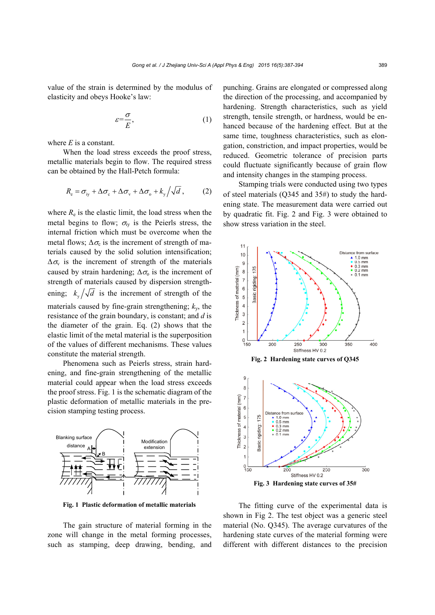value of the strain is determined by the modulus of elasticity and obeys Hooke's law:

$$
\varepsilon = \frac{\sigma}{E},\tag{1}
$$

where *E* is a constant.

When the load stress exceeds the proof stress, metallic materials begin to flow. The required stress can be obtained by the Hall-Petch formula:

$$
R_{\rm e} = \sigma_{\rm iy} + \Delta \sigma_{\rm c} + \Delta \sigma_{\rm v} + \Delta \sigma_{\rm o} + k_{\rm y} / \sqrt{d} \,,\qquad(2)
$$

where  $R_e$  is the elastic limit, the load stress when the metal begins to flow;  $\sigma_{\rm iv}$  is the Peierls stress, the internal friction which must be overcome when the metal flows;  $\Delta \sigma_c$  is the increment of strength of materials caused by the solid solution intensification;  $\Delta \sigma_{v}$  is the increment of strength of the materials caused by strain hardening;  $\Delta \sigma_0$  is the increment of strength of materials caused by dispersion strengthening;  $k_y / \sqrt{d}$  is the increment of strength of the materials caused by fine-grain strengthening; *k*y, the resistance of the grain boundary, is constant; and *d* is the diameter of the grain. Eq. (2) shows that the elastic limit of the metal material is the superposition of the values of different mechanisms. These values constitute the material strength.

Phenomena such as Peierls stress, strain hardening, and fine-grain strengthening of the metallic material could appear when the load stress exceeds the proof stress. Fig. 1 is the schematic diagram of the plastic deformation of metallic materials in the precision stamping testing process.



**Fig. 1 Plastic deformation of metallic materials** 

The gain structure of material forming in the zone will change in the metal forming processes, such as stamping, deep drawing, bending, and punching. Grains are elongated or compressed along the direction of the processing, and accompanied by hardening. Strength characteristics, such as yield strength, tensile strength, or hardness, would be enhanced because of the hardening effect. But at the same time, toughness characteristics, such as elongation, constriction, and impact properties, would be reduced. Geometric tolerance of precision parts could fluctuate significantly because of grain flow and intensity changes in the stamping process.

Stamping trials were conducted using two types of steel materials (Q345 and 35#) to study the hardening state. The measurement data were carried out by quadratic fit. Fig. 2 and Fig. 3 were obtained to show stress variation in the steel.



The fitting curve of the experimental data is shown in Fig 2. The test object was a generic steel material (No. Q345). The average curvatures of the hardening state curves of the material forming were different with different distances to the precision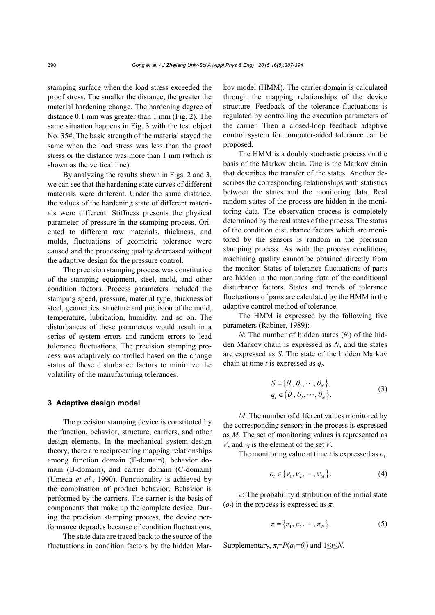stamping surface when the load stress exceeded the proof stress. The smaller the distance, the greater the material hardening change. The hardening degree of distance 0.1 mm was greater than 1 mm (Fig. 2). The same situation happens in Fig. 3 with the test object No. 35#. The basic strength of the material stayed the same when the load stress was less than the proof stress or the distance was more than 1 mm (which is shown as the vertical line).

By analyzing the results shown in Figs. 2 and 3, we can see that the hardening state curves of different materials were different. Under the same distance, the values of the hardening state of different materials were different. Stiffness presents the physical parameter of pressure in the stamping process. Oriented to different raw materials, thickness, and molds, fluctuations of geometric tolerance were caused and the processing quality decreased without the adaptive design for the pressure control.

The precision stamping process was constitutive of the stamping equipment, steel, mold, and other condition factors. Process parameters included the stamping speed, pressure, material type, thickness of steel, geometries, structure and precision of the mold, temperature, lubrication, humidity, and so on. The disturbances of these parameters would result in a series of system errors and random errors to lead tolerance fluctuations. The precision stamping process was adaptively controlled based on the change status of these disturbance factors to minimize the volatility of the manufacturing tolerances.

#### **3 Adaptive design model**

The precision stamping device is constituted by the function, behavior, structure, carriers, and other design elements. In the mechanical system design theory, there are reciprocating mapping relationships among function domain (F-domain), behavior domain (B-domain), and carrier domain (C-domain) (Umeda *et al.*, 1990). Functionality is achieved by the combination of product behavior. Behavior is performed by the carriers. The carrier is the basis of components that make up the complete device. During the precision stamping process, the device performance degrades because of condition fluctuations.

The state data are traced back to the source of the fluctuations in condition factors by the hidden Markov model (HMM). The carrier domain is calculated through the mapping relationships of the device structure. Feedback of the tolerance fluctuations is regulated by controlling the execution parameters of the carrier. Then a closed-loop feedback adaptive control system for computer-aided tolerance can be proposed.

The HMM is a doubly stochastic process on the basis of the Markov chain. One is the Markov chain that describes the transfer of the states. Another describes the corresponding relationships with statistics between the states and the monitoring data. Real random states of the process are hidden in the monitoring data. The observation process is completely determined by the real states of the process. The status of the condition disturbance factors which are monitored by the sensors is random in the precision stamping process. As with the process conditions, machining quality cannot be obtained directly from the monitor. States of tolerance fluctuations of parts are hidden in the monitoring data of the conditional disturbance factors. States and trends of tolerance fluctuations of parts are calculated by the HMM in the adaptive control method of tolerance.

The HMM is expressed by the following five parameters (Rabiner, 1989):

*N*: The number of hidden states  $(\theta_i)$  of the hidden Markov chain is expressed as *N*, and the states are expressed as *S*. The state of the hidden Markov chain at time  $t$  is expressed as  $q_t$ .

$$
S = \{\theta_1, \theta_2, \cdots, \theta_N\},
$$
  
\n
$$
q_t \in \{\theta_1, \theta_2, \cdots, \theta_N\}.
$$
\n(3)

*M*: The number of different values monitored by the corresponding sensors in the process is expressed as *M*. The set of monitoring values is represented as *V*, and  $v_i$  is the element of the set *V*.

The monitoring value at time *t* is expressed as *ot*.

$$
o_t \in \{v_1, v_2, \cdots, v_M\}.
$$
 (4)

 $\pi$ : The probability distribution of the initial state  $(q_t)$  in the process is expressed as  $\pi$ .

$$
\pi = {\pi_1, \pi_2, \cdots, \pi_N}.
$$
 (5)

Supplementary,  $\pi_i = P(q_1 = \theta_i)$  and  $1 \leq i \leq N$ .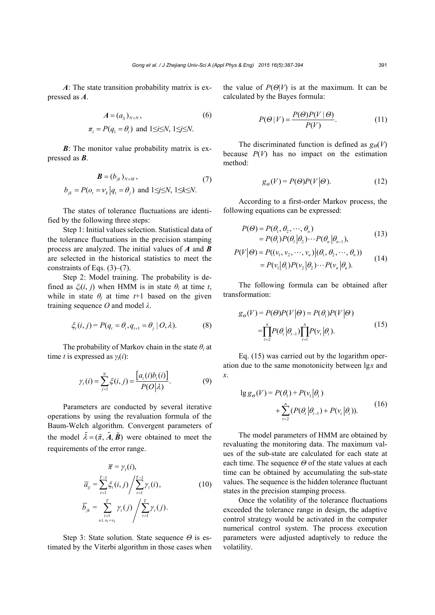*A*: The state transition probability matrix is expressed as *A*.

$$
A = (a_{ij})_{N \times N},
$$
\n
$$
\pi_i = P(q_1 = \theta_i) \text{ and } 1 \le i \le N, 1 \le j \le N.
$$
\n
$$
(6)
$$

*B*: The monitor value probability matrix is expressed as *B*.

$$
\mathbf{B} = (b_{jk})_{N \times M},
$$
\n
$$
b_{jk} = P(o_t = v_k | q_t = \theta_j) \text{ and } 1 \le j \le N, 1 \le k \le N.
$$
\n
$$
(7)
$$

The states of tolerance fluctuations are identified by the following three steps:

Step 1: Initial values selection. Statistical data of the tolerance fluctuations in the precision stamping process are analyzed. The initial values of *A* and *B* are selected in the historical statistics to meet the constraints of Eqs. (3)–(7).

Step 2: Model training. The probability is defined as  $\xi_i(i, j)$  when HMM is in state  $\theta_i$  at time *t*, while in state  $\theta_i$  at time  $t+1$  based on the given training sequence *O* and model *λ*.

$$
\xi_i(i,j) = P(q_i = \theta_i, q_{i+1} = \theta_j \mid O, \lambda). \tag{8}
$$

The probability of Markov chain in the state  $\theta_i$  at time *t* is expressed as  $\gamma_t(i)$ :

$$
\gamma_{t}(i) = \sum_{j=1}^{N} \xi(i, j) = \frac{[a_{t}(i)b_{t}(i)]}{P(O|\lambda)}.
$$
\n(9)

Parameters are conducted by several iterative operations by using the revaluation formula of the Baum-Welch algorithm. Convergent parameters of the model  $\tilde{\lambda} = (\tilde{\pi}, \tilde{A}, \tilde{B})$  were obtained to meet the requirements of the error range.

$$
\overline{\pi} = \gamma_1(i),
$$
\n
$$
\overline{\alpha}_{ij} = \sum_{t=1}^{T-1} \xi_t(i,j) / \sum_{t=1}^{T-1} \gamma_t(i),
$$
\n
$$
\overline{b}_{jk} = \sum_{t=1}^{T} \gamma_t(j) / \sum_{t=1}^{T} \gamma_t(j).
$$
\n(10)

Step 3: State solution. State sequence *Θ* is estimated by the Viterbi algorithm in those cases when the value of  $P(\Theta|V)$  is at the maximum. It can be calculated by the Bayes formula:

$$
P(\Theta | V) = \frac{P(\Theta)P(V | \Theta)}{P(V)}.
$$
\n(11)

The discriminated function is defined as *gΘ*(*V*) because  $P(V)$  has no impact on the estimation method:

$$
g_{\Theta}(V) = P(\Theta)P(V|\Theta). \tag{12}
$$

According to a first-order Markov process, the following equations can be expressed:

$$
P(\Theta) = P(\theta_1, \theta_2, \cdots, \theta_n)
$$
  
=  $P(\theta_1)P(\theta_1|\theta_2)\cdots P(\theta_n|\theta_{n-1}),$  (13)

$$
P(V|\Theta) = P((v_1, v_2, \cdots, v_n)|(\theta_1, \theta_2, \cdots, \theta_n))
$$
  
=  $P(v_1|\theta_1)P(v_2|\theta_2) \cdots P(v_n|\theta_n).$  (14)

The following formula can be obtained after transformation:

$$
g_{\Theta}(V) = P(\Theta)P(V|\Theta) = P(\theta_1)P(V|\Theta)
$$
  
= 
$$
\prod_{t=2}^{n} P(\theta_t | \theta_{t-1}) \prod_{t=1}^{n} P(\nu_t | \theta_t).
$$
 (15)

Eq. (15) was carried out by the logarithm operation due to the same monotonicity between lg*x* and *x*.

$$
\lg g_{\theta}(V) = P(\theta_1) + P(\nu_1 | \theta_1) + \sum_{t=2}^{n} (P(\theta_t | \theta_{t-1}) + P(\nu_t | \theta_t)).
$$
 (16)

The model parameters of HMM are obtained by revaluating the monitoring data. The maximum values of the sub-state are calculated for each state at each time. The sequence *Θ* of the state values at each time can be obtained by accumulating the sub-state values. The sequence is the hidden tolerance fluctuant states in the precision stamping process.

Once the volatility of the tolerance fluctuations exceeded the tolerance range in design, the adaptive control strategy would be activated in the computer numerical control system. The process execution parameters were adjusted adaptively to reduce the volatility.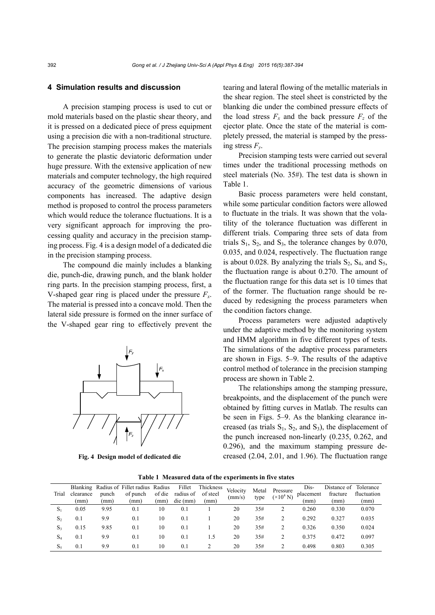#### **4 Simulation results and discussion**

A precision stamping process is used to cut or mold materials based on the plastic shear theory, and it is pressed on a dedicated piece of press equipment using a precision die with a non-traditional structure. The precision stamping process makes the materials to generate the plastic deviatoric deformation under huge pressure. With the extensive application of new materials and computer technology, the high required accuracy of the geometric dimensions of various components has increased. The adaptive design method is proposed to control the process parameters which would reduce the tolerance fluctuations. It is a very significant approach for improving the processing quality and accuracy in the precision stamping process. Fig. 4 is a design model of a dedicated die in the precision stamping process.

The compound die mainly includes a blanking die, punch-die, drawing punch, and the blank holder ring parts. In the precision stamping process, first, a V-shaped gear ring is placed under the pressure *Fx*. The material is pressed into a concave mold. Then the lateral side pressure is formed on the inner surface of the V-shaped gear ring to effectively prevent the



**Fig. 4 Design model of dedicated die** 

tearing and lateral flowing of the metallic materials in the shear region. The steel sheet is constricted by the blanking die under the combined pressure effects of the load stress  $F_x$  and the back pressure  $F_z$  of the ejector plate. Once the state of the material is completely pressed, the material is stamped by the pressing stress *Fy*.

Precision stamping tests were carried out several times under the traditional processing methods on steel materials (No. 35#). The test data is shown in Table 1.

Basic process parameters were held constant, while some particular condition factors were allowed to fluctuate in the trials. It was shown that the volatility of the tolerance fluctuation was different in different trials. Comparing three sets of data from trials  $S_1$ ,  $S_2$ , and  $S_3$ , the tolerance changes by 0.070, 0.035, and 0.024, respectively. The fluctuation range is about 0.028. By analyzing the trials  $S_2$ ,  $S_4$ , and  $S_5$ , the fluctuation range is about 0.270. The amount of the fluctuation range for this data set is 10 times that of the former. The fluctuation range should be reduced by redesigning the process parameters when the condition factors change.

Process parameters were adjusted adaptively under the adaptive method by the monitoring system and HMM algorithm in five different types of tests. The simulations of the adaptive process parameters are shown in Figs. 5–9. The results of the adaptive control method of tolerance in the precision stamping process are shown in Table 2.

The relationships among the stamping pressure, breakpoints, and the displacement of the punch were obtained by fitting curves in Matlab. The results can be seen in Figs. 5–9. As the blanking clearance increased (as trials  $S_1$ ,  $S_2$ , and  $S_3$ ), the displacement of the punch increased non-linearly (0.235, 0.262, and 0.296), and the maximum stamping pressure decreased (2.04, 2.01, and 1.96). The fluctuation range

| Trial   | clearance<br>(mm) | punch<br>(mm) | Blanking Radius of Fillet radius Radius<br>of punch<br>(mm) | of die<br>(mm) | Fillet<br>radius of<br>$die$ (mm) | Thickness<br>of steel<br>(mm) | Velocity<br>(mm/s) | Metal<br>type | Pressure<br>$(\times 10^4 \text{ N})$ | Dis-<br>placement<br>(mm) | Distance of<br>fracture<br>(mm) | Tolerance<br>fluctuation<br>(mm) |
|---------|-------------------|---------------|-------------------------------------------------------------|----------------|-----------------------------------|-------------------------------|--------------------|---------------|---------------------------------------|---------------------------|---------------------------------|----------------------------------|
| $S_1$   | 0.05              | 9.95          | 0.1                                                         | 10             | 0.1                               |                               | 20                 | 35#           |                                       | 0.260                     | 0.330                           | 0.070                            |
| S,      | 0.1               | 9.9           | 0.1                                                         | 10             | 0.1                               |                               | 20                 | 35#           | າ                                     | 0.292                     | 0.327                           | 0.035                            |
| $S_{3}$ | 0.15              | 9.85          | 0.1                                                         | 10             | 0.1                               |                               | 20                 | 35#           | າ                                     | 0.326                     | 0.350                           | 0.024                            |
| S,      | 0.1               | 9.9           | 0.1                                                         | 10             | 0.1                               | ı .5                          | 20                 | 35#           | າ                                     | 0.375                     | 0.472                           | 0.097                            |
| S,      | 0.1               | 9.9           | 0.1                                                         | 10             | 0.1                               |                               | 20                 | 35#           | າ                                     | 0.498                     | 0.803                           | 0.305                            |

**Table 1 Measured data of the experiments in five states**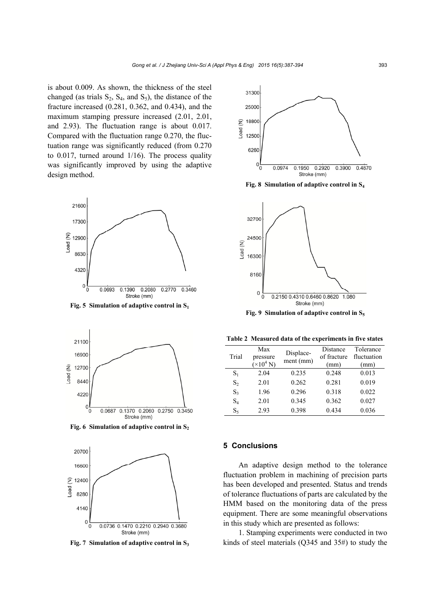is about 0.009. As shown, the thickness of the steel changed (as trials  $S_2$ ,  $S_4$ , and  $S_5$ ), the distance of the fracture increased (0.281, 0.362, and 0.434), and the maximum stamping pressure increased (2.01, 2.01, and 2.93). The fluctuation range is about 0.017. Compared with the fluctuation range 0.270, the fluctuation range was significantly reduced (from 0.270 to 0.017, turned around 1/16). The process quality was significantly improved by using the adaptive design method.



**Fig. 5 Simulation of adaptive control in S1**



Fig. 6 Simulation of adaptive control in S<sub>2</sub>



**Fig. 7 Simulation of adaptive control in S3**



**Fig. 8 Simulation of adaptive control in S4**



**Fig. 9 Simulation of adaptive control in S5**

**Table 2 Measured data of the experiments in five states**

| Trial          | Max<br>pressure<br>$\rm (x10^4 N)$ | Displace-<br>ment (mm) | Distance<br>of fracture<br>(mm) | Tolerance<br>fluctuation<br>(mm) |
|----------------|------------------------------------|------------------------|---------------------------------|----------------------------------|
| $S_1$          | 2.04                               | 0.235                  | 0.248                           | 0.013                            |
| S <sub>2</sub> | 2.01                               | 0.262                  | 0.281                           | 0.019                            |
| $S_3$          | 1.96                               | 0.296                  | 0.318                           | 0.022                            |
| $S_4$          | 2.01                               | 0.345                  | 0.362                           | 0.027                            |
| $S_5$          | 2.93                               | 0.398                  | 0.434                           | 0.036                            |

## **5 Conclusions**

An adaptive design method to the tolerance fluctuation problem in machining of precision parts has been developed and presented. Status and trends of tolerance fluctuations of parts are calculated by the HMM based on the monitoring data of the press equipment. There are some meaningful observations in this study which are presented as follows:

1. Stamping experiments were conducted in two kinds of steel materials (Q345 and 35#) to study the